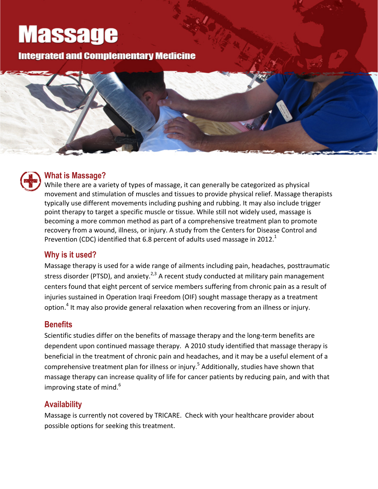# **Massage**

**Integrated and Complementary Medicine** 



### **What is Massage?**

While there are a variety of types of massage, it can generally be categorized as physical movement and stimulation of muscles and tissues to provide physical relief. Massage therapists typically use different movements including pushing and rubbing. It may also include trigger point therapy to target a specific muscle or tissue. While still not widely used, massage is becoming a more common method as part of a comprehensive treatment plan to promote recovery from a wound, illness, or injury. A study from the Centers for Disease Control and Prevention (CDC) identified that 6.8 percent of adults used massage in 2012.<sup>1</sup>

#### **Why is it used?**

Massage therapy is used for a wide range of ailments including pain, headaches, posttraumatic stress disorder (PTSD), and anxiety.<sup>2,3</sup> A recent study conducted at military pain management centers found that eight percent of service members suffering from chronic pain as a result of injuries sustained in Operation Iraqi Freedom (OIF) sought massage therapy as a treatment option.4 It may also provide general relaxation when recovering from an illness or injury.

#### **Benefits**

Scientific studies differ on the benefits of massage therapy and the long-term benefits are dependent upon continued massage therapy. A 2010 study identified that massage therapy is beneficial in the treatment of chronic pain and headaches, and it may be a useful element of a comprehensive treatment plan for illness or injury.<sup>5</sup> Additionally, studies have shown that massage therapy can increase quality of life for cancer patients by reducing pain, and with that improving state of mind. $6$ 

#### **Availability**

Massage is currently not covered by TRICARE. Check with your healthcare provider about possible options for seeking this treatment.